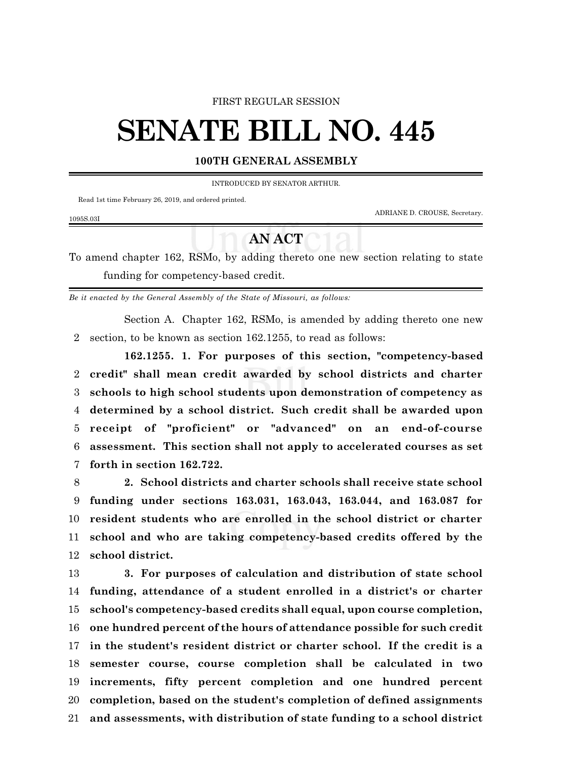## FIRST REGULAR SESSION

## **SENATE BILL NO. 445**

## **100TH GENERAL ASSEMBLY**

INTRODUCED BY SENATOR ARTHUR.

Read 1st time February 26, 2019, and ordered printed.

1095S.03I

ADRIANE D. CROUSE, Secretary.

## **AN ACT**

To amend chapter 162, RSMo, by adding thereto one new section relating to state funding for competency-based credit.

*Be it enacted by the General Assembly of the State of Missouri, as follows:*

Section A. Chapter 162, RSMo, is amended by adding thereto one new section, to be known as section 162.1255, to read as follows:

**162.1255. 1. For purposes of this section, "competency-based credit" shall mean credit awarded by school districts and charter schools to high school students upon demonstration of competency as determined by a school district. Such credit shall be awarded upon receipt of "proficient" or "advanced" on an end-of-course assessment. This section shall not apply to accelerated courses as set forth in section 162.722.**

 **2. School districts and charter schools shall receive state school funding under sections 163.031, 163.043, 163.044, and 163.087 for resident students who are enrolled in the school district or charter school and who are taking competency-based credits offered by the school district.**

 **3. For purposes of calculation and distribution of state school funding, attendance of a student enrolled in a district's or charter school's competency-based credits shall equal, upon course completion, one hundred percent of the hours of attendance possible for such credit in the student's resident district or charter school. If the credit is a semester course, course completion shall be calculated in two increments, fifty percent completion and one hundred percent completion, based on the student's completion of defined assignments and assessments, with distribution of state funding to a school district**